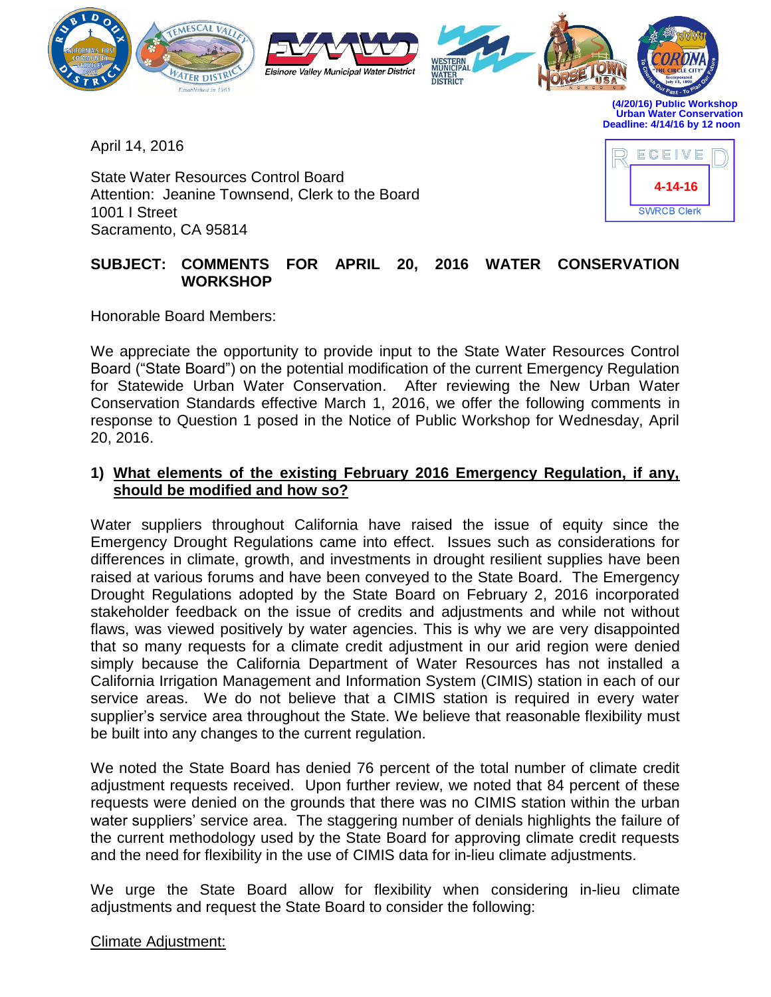

**(4/20/16) Public Workshop Urban Water Conservation Deadline: 4/14/16 by 12 noon** 

April 14, 2016

State Water Resources Control Board Attention: Jeanine Townsend, Clerk to the Board 1001 I Street Sacramento, CA 95814



## **SUBJECT: COMMENTS FOR APRIL 20, 2016 WATER CONSERVATION WORKSHOP**

Honorable Board Members:

We appreciate the opportunity to provide input to the State Water Resources Control Board ("State Board") on the potential modification of the current Emergency Regulation for Statewide Urban Water Conservation. After reviewing the New Urban Water Conservation Standards effective March 1, 2016, we offer the following comments in response to Question 1 posed in the Notice of Public Workshop for Wednesday, April 20, 2016.

## **1) What elements of the existing February 2016 Emergency Regulation, if any, should be modified and how so?**

Water suppliers throughout California have raised the issue of equity since the Emergency Drought Regulations came into effect. Issues such as considerations for differences in climate, growth, and investments in drought resilient supplies have been raised at various forums and have been conveyed to the State Board. The Emergency Drought Regulations adopted by the State Board on February 2, 2016 incorporated stakeholder feedback on the issue of credits and adjustments and while not without flaws, was viewed positively by water agencies. This is why we are very disappointed that so many requests for a climate credit adjustment in our arid region were denied simply because the California Department of Water Resources has not installed a California Irrigation Management and Information System (CIMIS) station in each of our service areas. We do not believe that a CIMIS station is required in every water supplier's service area throughout the State. We believe that reasonable flexibility must be built into any changes to the current regulation.

We noted the State Board has denied 76 percent of the total number of climate credit adjustment requests received. Upon further review, we noted that 84 percent of these requests were denied on the grounds that there was no CIMIS station within the urban water suppliers' service area. The staggering number of denials highlights the failure of the current methodology used by the State Board for approving climate credit requests and the need for flexibility in the use of CIMIS data for in-lieu climate adjustments.

We urge the State Board allow for flexibility when considering in-lieu climate adjustments and request the State Board to consider the following:

Climate Adjustment: